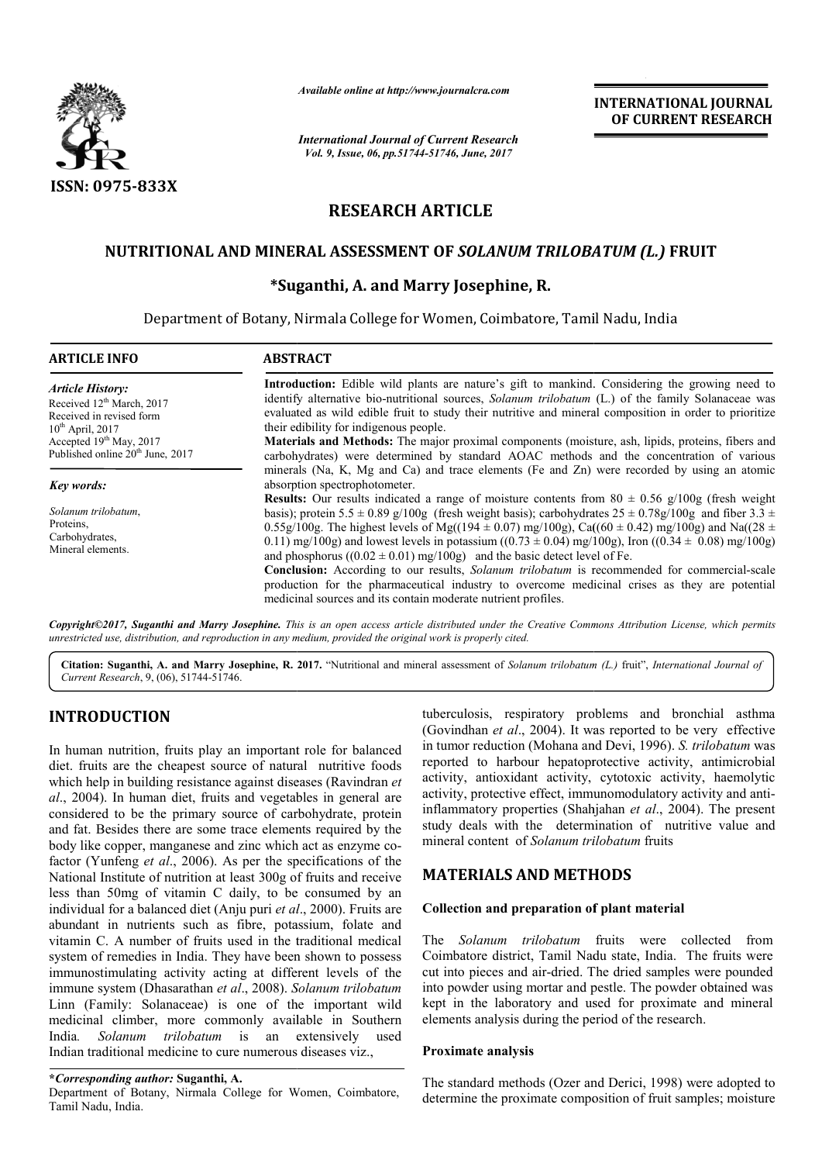

*Available online at http://www.journalcra.com*

# **RESEARCH ARTICLE**

## **NUTRITIONAL AND MINERAL ASSESSMENT OF**  *SOLANUM TRILOBATUM (L.)*  **FRUIT**

### **\*Suganthi Suganthi, A. and Marry Josephine, R.**

|                                                                                                                                                                                                                                                                                                                                                                                                                                                                                                                                                                      | лтаните опине игнир.//www.journaicra.com<br><b>International Journal of Current Research</b>                                                                                                                                                                                                                                                                                                                                                                                                                                                              |                                                                                                                                               | <b>INTERNATIONAL JOURNAL</b><br>OF CURRENT RESEARCH                                                                                                                                                                                                                                                                                                                                                                                                                                                                                                                                                                                              |
|----------------------------------------------------------------------------------------------------------------------------------------------------------------------------------------------------------------------------------------------------------------------------------------------------------------------------------------------------------------------------------------------------------------------------------------------------------------------------------------------------------------------------------------------------------------------|-----------------------------------------------------------------------------------------------------------------------------------------------------------------------------------------------------------------------------------------------------------------------------------------------------------------------------------------------------------------------------------------------------------------------------------------------------------------------------------------------------------------------------------------------------------|-----------------------------------------------------------------------------------------------------------------------------------------------|--------------------------------------------------------------------------------------------------------------------------------------------------------------------------------------------------------------------------------------------------------------------------------------------------------------------------------------------------------------------------------------------------------------------------------------------------------------------------------------------------------------------------------------------------------------------------------------------------------------------------------------------------|
|                                                                                                                                                                                                                                                                                                                                                                                                                                                                                                                                                                      | Vol. 9, Issue, 06, pp.51744-51746, June, 2017                                                                                                                                                                                                                                                                                                                                                                                                                                                                                                             |                                                                                                                                               |                                                                                                                                                                                                                                                                                                                                                                                                                                                                                                                                                                                                                                                  |
| <b>ISSN: 0975-833X</b>                                                                                                                                                                                                                                                                                                                                                                                                                                                                                                                                               |                                                                                                                                                                                                                                                                                                                                                                                                                                                                                                                                                           |                                                                                                                                               |                                                                                                                                                                                                                                                                                                                                                                                                                                                                                                                                                                                                                                                  |
|                                                                                                                                                                                                                                                                                                                                                                                                                                                                                                                                                                      | <b>RESEARCH ARTICLE</b>                                                                                                                                                                                                                                                                                                                                                                                                                                                                                                                                   |                                                                                                                                               |                                                                                                                                                                                                                                                                                                                                                                                                                                                                                                                                                                                                                                                  |
|                                                                                                                                                                                                                                                                                                                                                                                                                                                                                                                                                                      | NUTRITIONAL AND MINERAL ASSESSMENT OF SOLANUM TRILOBATUM (L.) FRUIT                                                                                                                                                                                                                                                                                                                                                                                                                                                                                       |                                                                                                                                               |                                                                                                                                                                                                                                                                                                                                                                                                                                                                                                                                                                                                                                                  |
|                                                                                                                                                                                                                                                                                                                                                                                                                                                                                                                                                                      | *Suganthi, A. and Marry Josephine, R.                                                                                                                                                                                                                                                                                                                                                                                                                                                                                                                     |                                                                                                                                               |                                                                                                                                                                                                                                                                                                                                                                                                                                                                                                                                                                                                                                                  |
|                                                                                                                                                                                                                                                                                                                                                                                                                                                                                                                                                                      |                                                                                                                                                                                                                                                                                                                                                                                                                                                                                                                                                           |                                                                                                                                               |                                                                                                                                                                                                                                                                                                                                                                                                                                                                                                                                                                                                                                                  |
|                                                                                                                                                                                                                                                                                                                                                                                                                                                                                                                                                                      | Department of Botany, Nirmala College for Women, Coimbatore, Tamil Nadu, India                                                                                                                                                                                                                                                                                                                                                                                                                                                                            |                                                                                                                                               |                                                                                                                                                                                                                                                                                                                                                                                                                                                                                                                                                                                                                                                  |
| <b>ARTICLE INFO</b>                                                                                                                                                                                                                                                                                                                                                                                                                                                                                                                                                  | <b>ABSTRACT</b>                                                                                                                                                                                                                                                                                                                                                                                                                                                                                                                                           |                                                                                                                                               |                                                                                                                                                                                                                                                                                                                                                                                                                                                                                                                                                                                                                                                  |
| <b>Article History:</b><br>Received 12 <sup>th</sup> March, 2017<br>Received in revised form<br>$10^{th}$ April, 2017<br>Accepted 19th May, 2017<br>Published online 20 <sup>th</sup> June, 2017                                                                                                                                                                                                                                                                                                                                                                     | Introduction: Edible wild plants are nature's gift to mankind. Considering the growing need to<br>identify alternative bio-nutritional sources, Solanum trilobatum (L.) of the family Solanaceae was<br>evaluated as wild edible fruit to study their nutritive and mineral composition in order to prioritize<br>their edibility for indigenous people.<br>Materials and Methods: The major proximal components (moisture, ash, lipids, proteins, fibers and<br>carbohydrates) were determined by standard AOAC methods and the concentration of various |                                                                                                                                               |                                                                                                                                                                                                                                                                                                                                                                                                                                                                                                                                                                                                                                                  |
| <b>Key words:</b>                                                                                                                                                                                                                                                                                                                                                                                                                                                                                                                                                    | minerals (Na, K, Mg and Ca) and trace elements (Fe and Zn) were recorded by using an atomic<br>absorption spectrophotometer.                                                                                                                                                                                                                                                                                                                                                                                                                              |                                                                                                                                               |                                                                                                                                                                                                                                                                                                                                                                                                                                                                                                                                                                                                                                                  |
| Solanum trilobatum,<br>Proteins.<br>Carbohydrates,<br>Mineral elements.                                                                                                                                                                                                                                                                                                                                                                                                                                                                                              |                                                                                                                                                                                                                                                                                                                                                                                                                                                                                                                                                           | and phosphorus $((0.02 \pm 0.01)$ mg/100g) and the basic detect level of Fe.<br>medicinal sources and its contain moderate nutrient profiles. | <b>Results:</b> Our results indicated a range of moisture contents from $80 \pm 0.56$ g/100g (fresh weight<br>basis); protein 5.5 ± 0.89 g/100g (fresh weight basis); carbohydrates $25 \pm 0.78$ g/100g and fiber 3.3 ±<br>0.55g/100g. The highest levels of Mg((194 $\pm$ 0.07) mg/100g), Ca((60 $\pm$ 0.42) mg/100g) and Na((28 $\pm$<br>0.11) mg/100g) and lowest levels in potassium ((0.73 ± 0.04) mg/100g), Iron ((0.34 ± 0.08) mg/100g)<br>Conclusion: According to our results, Solanum trilobatum is recommended for commercial-scale<br>production for the pharmaceutical industry to overcome medicinal crises as they are potential |
|                                                                                                                                                                                                                                                                                                                                                                                                                                                                                                                                                                      | Copyright©2017, Suganthi and Marry Josephine. This is an open access article distributed under the Creative Commons Attribution License, which permits<br>unrestricted use, distribution, and reproduction in any medium, provided the original work is properly cited.                                                                                                                                                                                                                                                                                   |                                                                                                                                               |                                                                                                                                                                                                                                                                                                                                                                                                                                                                                                                                                                                                                                                  |
| Current Research, 9, (06), 51744-51746.                                                                                                                                                                                                                                                                                                                                                                                                                                                                                                                              | Citation: Suganthi, A. and Marry Josephine, R. 2017. "Nutritional and mineral assessment of Solanum trilobatum (L.) fruit", International Journal of                                                                                                                                                                                                                                                                                                                                                                                                      |                                                                                                                                               |                                                                                                                                                                                                                                                                                                                                                                                                                                                                                                                                                                                                                                                  |
| <b>INTRODUCTION</b><br>In human nutrition, fruits play an important role for balanced<br>diet. fruits are the cheapest source of natural nutritive foods<br>which help in building resistance against diseases (Ravindran et<br>al., 2004). In human diet, fruits and vegetables in general are<br>considered to be the primary source of carbohydrate, protein<br>and fat. Besides there are some trace elements required by the<br>body like copper, manganese and zinc which act as enzyme co-<br>factor (Yunfeng et al., 2006). As per the specifications of the |                                                                                                                                                                                                                                                                                                                                                                                                                                                                                                                                                           | mineral content of Solanum trilobatum fruits                                                                                                  | tuberculosis, respiratory problems and bronchial asthma<br>(Govindhan et al., 2004). It was reported to be very effective<br>in tumor reduction (Mohana and Devi, 1996). S. trilobatum was<br>reported to harbour hepatoprotective activity, antimicrobial<br>activity, antioxidant activity, cytotoxic activity, haemolytic<br>activity, protective effect, immunomodulatory activity and anti-<br>inflammatory properties (Shahjahan et al., 2004). The present<br>study deals with the determination of nutritive value and                                                                                                                   |
|                                                                                                                                                                                                                                                                                                                                                                                                                                                                                                                                                                      | National Institute of nutrition at least 300g of fruits and receive<br>less than 50mg of vitamin C daily, to be consumed by an                                                                                                                                                                                                                                                                                                                                                                                                                            | <b>MATERIALS AND METHODS</b>                                                                                                                  |                                                                                                                                                                                                                                                                                                                                                                                                                                                                                                                                                                                                                                                  |
| individual for a balanced diet (Anju puri et al., 2000). Fruits are<br>abundant in nutrients such as fibre, potassium, folate and                                                                                                                                                                                                                                                                                                                                                                                                                                    |                                                                                                                                                                                                                                                                                                                                                                                                                                                                                                                                                           | Collection and preparation of plant material                                                                                                  |                                                                                                                                                                                                                                                                                                                                                                                                                                                                                                                                                                                                                                                  |
| India.<br>Indian traditional medicine to cure numerous diseases viz.,                                                                                                                                                                                                                                                                                                                                                                                                                                                                                                | vitamin C. A number of fruits used in the traditional medical<br>system of remedies in India. They have been shown to possess<br>immunostimulating activity acting at different levels of the<br>immune system (Dhasarathan et al., 2008). Solanum trilobatum<br>Linn (Family: Solanaceae) is one of the important wild<br>medicinal climber, more commonly available in Southern<br>Solanum trilobatum is an extensively<br>used                                                                                                                         | The Solanum trilobatum fruits were collected<br>elements analysis during the period of the research.<br>Proximate analysis                    | from<br>Coimbatore district, Tamil Nadu state, India. The fruits were<br>cut into pieces and air-dried. The dried samples were pounded<br>into powder using mortar and pestle. The powder obtained was<br>kept in the laboratory and used for proximate and mineral                                                                                                                                                                                                                                                                                                                                                                              |
| *Corresponding author: Suganthi, A.                                                                                                                                                                                                                                                                                                                                                                                                                                                                                                                                  |                                                                                                                                                                                                                                                                                                                                                                                                                                                                                                                                                           |                                                                                                                                               | The standard methods (Ozer and Derici, 1998) were adopted to                                                                                                                                                                                                                                                                                                                                                                                                                                                                                                                                                                                     |
| Department of Botany, Nirmala College for Women, Coimbatore,<br>$T_{\alpha}$ il Madu India                                                                                                                                                                                                                                                                                                                                                                                                                                                                           |                                                                                                                                                                                                                                                                                                                                                                                                                                                                                                                                                           |                                                                                                                                               | determine the proximate composition of fruit samples; moisture                                                                                                                                                                                                                                                                                                                                                                                                                                                                                                                                                                                   |

## **INTRODUCTION**

Department of Botany, Nirmala College for Women, Coimbatore, Tamil Nadu, India.

## **MATERIALS AND METHODS METHODS**

### **Collection and preparation of plant material ollection and preparation**

#### **Proximate analysis**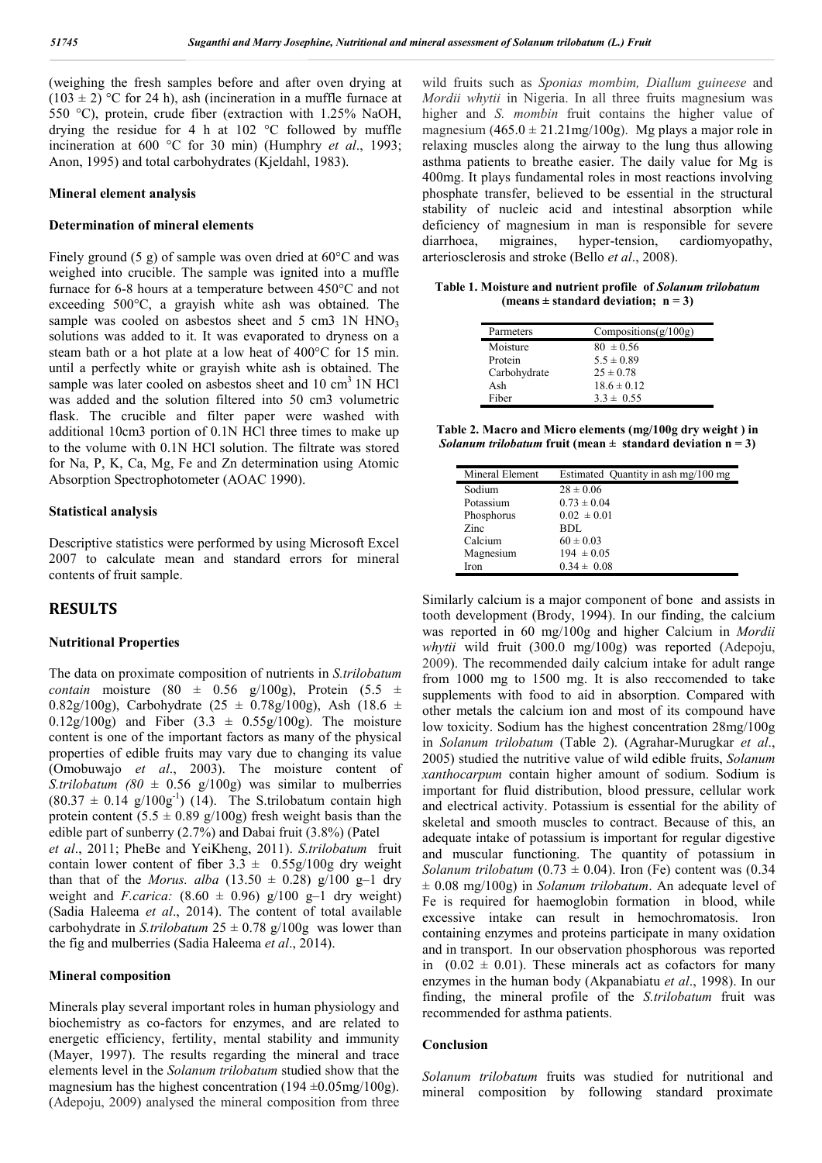(weighing the fresh samples before and after oven drying at  $(103 \pm 2)$  °C for 24 h), ash (incineration in a muffle furnace at 550 °C), protein, crude fiber (extraction with 1.25% NaOH, drying the residue for 4 h at 102 °C followed by muffle incineration at 600 °C for 30 min) (Humphry *et al*., 1993; Anon, 1995) and total carbohydrates (Kjeldahl, 1983).

#### **Mineral element analysis**

#### **Determination of mineral elements**

Finely ground (5 g) of sample was oven dried at 60°C and was weighed into crucible. The sample was ignited into a muffle furnace for 6-8 hours at a temperature between 450°C and not exceeding 500°C, a grayish white ash was obtained. The sample was cooled on asbestos sheet and  $5 \text{ cm}$ 3 1N HNO<sub>3</sub> solutions was added to it. It was evaporated to dryness on a steam bath or a hot plate at a low heat of 400°C for 15 min. until a perfectly white or grayish white ash is obtained. The sample was later cooled on asbestos sheet and  $10 \text{ cm}^3$  1N HCl was added and the solution filtered into 50 cm3 volumetric flask. The crucible and filter paper were washed with additional 10cm3 portion of 0.1N HCl three times to make up to the volume with 0.1N HCl solution. The filtrate was stored for Na, P, K, Ca, Mg, Fe and Zn determination using Atomic Absorption Spectrophotometer (AOAC 1990).

#### **Statistical analysis**

Descriptive statistics were performed by using Microsoft Excel 2007 to calculate mean and standard errors for mineral contents of fruit sample.

### **RESULTS**

#### **Nutritional Properties**

The data on proximate composition of nutrients in *S.trilobatum contain* moisture (80  $\pm$  0.56 g/100g), Protein (5.5  $\pm$ 0.82g/100g), Carbohydrate (25  $\pm$  0.78g/100g), Ash (18.6  $\pm$ 0.12g/100g) and Fiber  $(3.3 \pm 0.55g/100g)$ . The moisture content is one of the important factors as many of the physical properties of edible fruits may vary due to changing its value (Omobuwajo *et al*., 2003). The moisture content of *S.trilobatum (80*  $\pm$  *0.56 g/100g)* was similar to mulberries  $(80.37 \pm 0.14 \text{ g}/100 \text{g}^{-1})$  (14). The S.trilobatum contain high protein content  $(5.5 \pm 0.89 \text{ g}/100 \text{g})$  fresh weight basis than the edible part of sunberry (2.7%) and Dabai fruit (3.8%) (Patel *et al*., 2011; PheBe and YeiKheng, 2011). *S.trilobatum* fruit contain lower content of fiber  $3.3 \pm 0.55g/100g$  dry weight than that of the *Morus. alba* (13.50  $\pm$  0.28) g/100 g-1 dry weight and *F.carica:*  $(8.60 \pm 0.96)$  g/100 g-1 dry weight) (Sadia Haleema *et al*., 2014). The content of total available carbohydrate in *S.trilobatum*  $25 \pm 0.78$  g/100g was lower than the fig and mulberries (Sadia Haleema *et al*., 2014).

#### **Mineral composition**

Minerals play several important roles in human physiology and biochemistry as co-factors for enzymes, and are related to energetic efficiency, fertility, mental stability and immunity (Mayer, 1997). The results regarding the mineral and trace elements level in the *Solanum trilobatum* studied show that the magnesium has the highest concentration (194  $\pm$ 0.05mg/100g). (Adepoju, 2009) analysed the mineral composition from three

wild fruits such as *Sponias mombim, Diallum guineese* and *Mordii whytii* in Nigeria. In all three fruits magnesium was higher and *S. mombin* fruit contains the higher value of magnesium  $(465.0 \pm 21.21 \text{mg}/100 \text{g})$ . Mg plays a major role in relaxing muscles along the airway to the lung thus allowing asthma patients to breathe easier. The daily value for Mg is 400mg. It plays fundamental roles in most reactions involving phosphate transfer, believed to be essential in the structural stability of nucleic acid and intestinal absorption while deficiency of magnesium in man is responsible for severe diarrhoea, migraines, hyper-tension, cardiomyopathy, arteriosclerosis and stroke (Bello *et al*., 2008).

**Table 1. Moisture and nutrient profile of** *Solanum trilobatum* (means  $\pm$  standard deviation;  $n = 3$ )

| Parmeters    | Compositions $(g/100g)$ |
|--------------|-------------------------|
| Moisture     | $80 \pm 0.56$           |
| Protein      | $5.5 \pm 0.89$          |
| Carbohydrate | $25 \pm 0.78$           |
| Ash          | $18.6 \pm 0.12$         |
| Fiber        | $3.3 \pm 0.55$          |
|              |                         |

**Table 2. Macro and Micro elements (mg/100g dry weight ) in**  *Solanum trilobatum* fruit (mean  $\pm$  standard deviation  $n = 3$ )

| Mineral Element | Estimated Quantity in ash mg/100 mg |
|-----------------|-------------------------------------|
| Sodium          | $28 \pm 0.06$                       |
| Potassium       | $0.73 \pm 0.04$                     |
| Phosphorus      | $0.02 \pm 0.01$                     |
| Zinc            | <b>BDL</b>                          |
| Calcium         | $60 \pm 0.03$                       |
| Magnesium       | $194 \pm 0.05$                      |
| Iron            | $0.34 \pm 0.08$                     |

Similarly calcium is a major component of bone and assists in tooth development (Brody, 1994). In our finding, the calcium was reported in 60 mg/100g and higher Calcium in *Mordii whytii* wild fruit (300.0 mg/100g) was reported (Adepoju, 2009). The recommended daily calcium intake for adult range from 1000 mg to 1500 mg. It is also reccomended to take supplements with food to aid in absorption. Compared with other metals the calcium ion and most of its compound have low toxicity. Sodium has the highest concentration 28mg/100g in *Solanum trilobatum* (Table 2). (Agrahar-Murugkar *et al*., 2005) studied the nutritive value of wild edible fruits, *Solanum xanthocarpum* contain higher amount of sodium. Sodium is important for fluid distribution, blood pressure, cellular work and electrical activity. Potassium is essential for the ability of skeletal and smooth muscles to contract. Because of this, an adequate intake of potassium is important for regular digestive and muscular functioning. The quantity of potassium in *Solanum trilobatum* (0.73  $\pm$  0.04). Iron (Fe) content was (0.34 ± 0.08 mg/100g) in *Solanum trilobatum*. An adequate level of Fe is required for haemoglobin formation in blood, while excessive intake can result in hemochromatosis. Iron containing enzymes and proteins participate in many oxidation and in transport. In our observation phosphorous was reported in  $(0.02 \pm 0.01)$ . These minerals act as cofactors for many enzymes in the human body (Akpanabiatu *et al*., 1998). In our finding, the mineral profile of the *S.trilobatum* fruit was recommended for asthma patients.

#### **Conclusion**

*Solanum trilobatum* fruits was studied for nutritional and mineral composition by following standard proximate